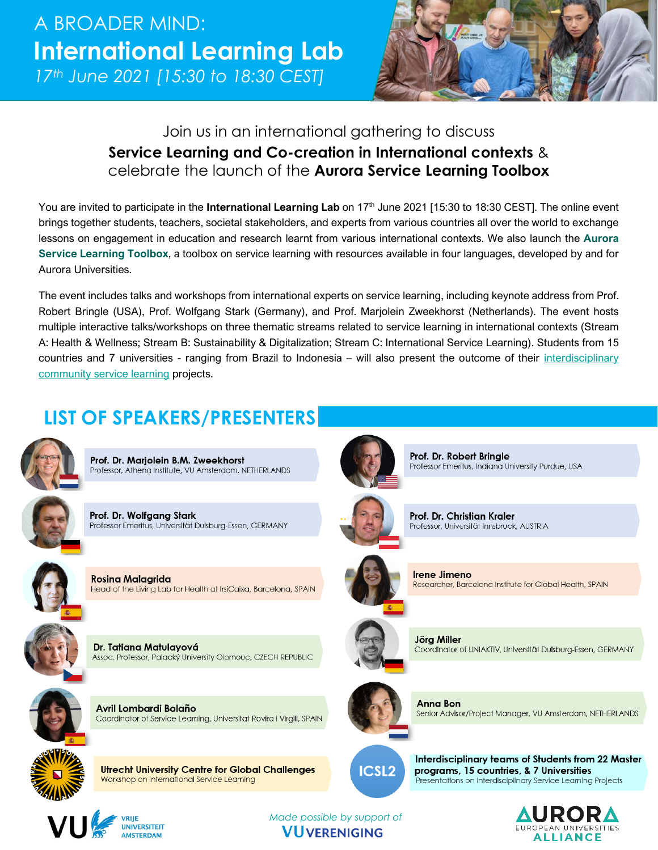

## Join us in an international gathering to discuss **Service Learning and Co-creation in International contexts** & celebrate the launch of the **Aurora Service Learning Toolbox**

You are invited to participate in the International Learning Lab on 17<sup>th</sup> June 2021 [15:30 to 18:30 CEST]. The online event brings together students, teachers, societal stakeholders, and experts from various countries all over the world to exchange lessons on engagement in education and research learnt from various international contexts. We also launch the **Aurora Service Learning Toolbox**, a toolbox on service learning with resources available in four languages, developed by and for Aurora Universities.

The event includes talks and workshops from international experts on service learning, including keynote address from Prof. Robert Bringle (USA), Prof. Wolfgang Stark (Germany), and Prof. Marjolein Zweekhorst (Netherlands). The event hosts multiple interactive talks/workshops on three thematic streams related to service learning in international contexts (Stream A: Health & Wellness; Stream B: Sustainability & Digitalization; Stream C: International Service Learning). Students from 15 countries and 7 universities - ranging from Brazil to Indonesia – will also present the outcome of their interdisciplinary [community service learning](https://www.vu.nl/en/programmes/interdisciplinary-community-service-learning/index.aspx) projects.

## **LIST OF SPEAKERS/PRESENTERS**



Prof. Dr. Marjolein B.M. Zweekhorst Professor, Athena Institute, VU Amsterdam, NETHERLANDS

Prof. Dr. Wolfgang Stark Professor Emeritus, Universität Duisburg-Essen, GERMANY



**Rosina Malagrida** Head of the Living Lab for Health at IrsiCaixa, Barcelona, SPAIN



Dr. Tatiana Matulayová Assoc. Professor, Palacký University Olomouc, CZECH REPUBLIC



Avril Lombardi Bolaño Coordinator of Service Learning, Universitat Rovira i Virgili, SPAIN



**Utrecht University Centre for Global Challenges** Workshop on International Service Learning



**Irene Jimeno** Researcher, Barcelona Institute for Global Health, SPAIN

Professor Emeritus, Indiana University Purdue, USA

Prof. Dr. Robert Bringle

Prof. Dr. Christian Kraler

Professor, Universität Innsbruck, AUSTRIA



Jörg Miller Coordinator of UNIAKTIV, Universität Duisburg-Essen, GERMANY



Anna Bon Senior Advisor/Project Manager, VU Amsterdam, NETHERLANDS



Interdisciplinary teams of Students from 22 Master programs, 15 countries, & 7 Universities Presentations on Interdisciplinary Service Learning Projects





*Made possible by support of* **VUVERENIGING**